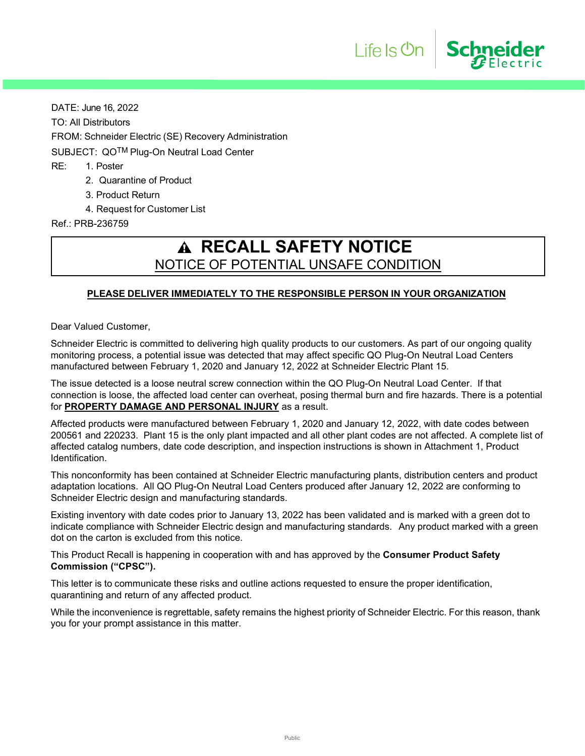DATE: June 16, 2022 TO: All Distributors FROM: Schneider Electric (SE) Recovery Administration SUBJECT: QOTM Plug-On Neutral Load Center RE: 1. Poster 2. Quarantine of Product

- 
- 3. Product Return
- 4. Request for Customer List

Ref.: PRB-236759

# **RECALL SAFETY NOTICE** NOTICE OF POTENTIAL UNSAFE CONDITION

Life Is On

Schneider

### **PLEASE DELIVER IMMEDIATELY TO THE RESPONSIBLE PERSON IN YOUR ORGANIZATION**

Dear Valued Customer,

Schneider Electric is committed to delivering high quality products to our customers. As part of our ongoing quality monitoring process, a potential issue was detected that may affect specific QO Plug-On Neutral Load Centers manufactured between February 1, 2020 and January 12, 2022 at Schneider Electric Plant 15.

The issue detected is a loose neutral screw connection within the QO Plug-On Neutral Load Center. If that connection is loose, the affected load center can overheat, posing thermal burn and fire hazards. There is a potential for **PROPERTY DAMAGE AND PERSONAL INJURY** as a result.

Affected products were manufactured between February 1, 2020 and January 12, 2022, with date codes between 200561 and 220233. Plant 15 is the only plant impacted and all other plant codes are not affected. A complete list of affected catalog numbers, date code description, and inspection instructions is shown in Attachment 1, Product Identification.

This nonconformity has been contained at Schneider Electric manufacturing plants, distribution centers and product adaptation locations. All QO Plug-On Neutral Load Centers produced after January 12, 2022 are conforming to Schneider Electric design and manufacturing standards.

Existing inventory with date codes prior to January 13, 2022 has been validated and is marked with a green dot to indicate compliance with Schneider Electric design and manufacturing standards. Any product marked with a green dot on the carton is excluded from this notice.

This Product Recall is happening in cooperation with and has approved by the **Consumer Product Safety Commission ("CPSC").** 

This letter is to communicate these risks and outline actions requested to ensure the proper identification, quarantining and return of any affected product.

While the inconvenience is regrettable, safety remains the highest priority of Schneider Electric. For this reason, thank you for your prompt assistance in this matter.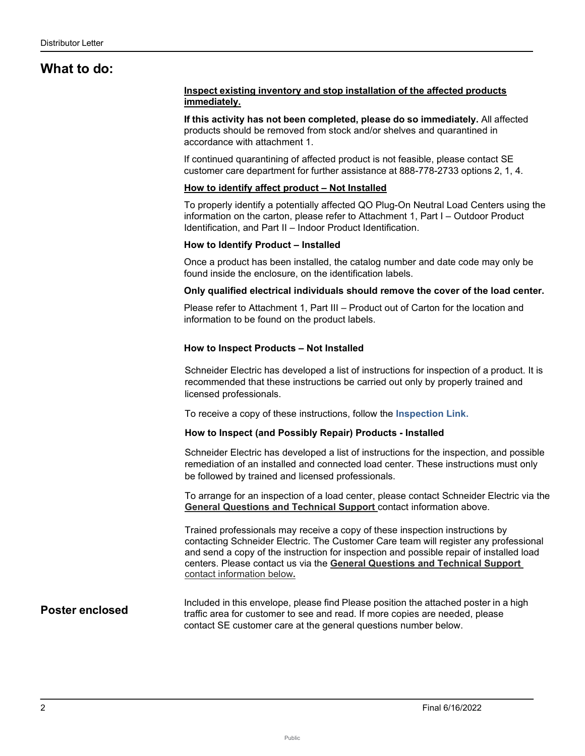## **What to do:**

### **Inspect existing inventory and stop installation of the affected products immediately.**

**If this activity has not been completed, please do so immediately.** All affected products should be removed from stock and/or shelves and quarantined in accordance with attachment 1.

If continued quarantining of affected product is not feasible, please contact SE customer care department for further assistance at 888-778-2733 options 2, 1, 4.

### **How to identify affect product – Not Installed**

To properly identify a potentially affected QO Plug-On Neutral Load Centers using the information on the carton, please refer to Attachment 1, Part I – Outdoor Product Identification, and Part II – Indoor Product Identification.

### **How to Identify Product – Installed**

Once a product has been installed, the catalog number and date code may only be found inside the enclosure, on the identification labels.

### **Only qualified electrical individuals should remove the cover of the load center.**

Please refer to Attachment 1, Part III – Product out of Carton for the location and information to be found on the product labels.

### **How to Inspect Products – Not Installed**

Schneider Electric has developed a list of instructions for inspection of a product. It is recommended that these instructions be carried out only by properly trained and licensed professionals.

To receive a copy of these instructions, follow the **Inspection Link.** 

### **How to Inspect (and Possibly Repair) Products - Installed**

Schneider Electric has developed a list of instructions for the inspection, and possible remediation of an installed and connected load center. These instructions must only be followed by trained and licensed professionals.

To arrange for an inspection of a load center, please contact Schneider Electric via the **General Questions and Technical Support** contact information above.

Trained professionals may receive a copy of these inspection instructions by contacting Schneider Electric. The Customer Care team will register any professional and send a copy of the instruction for inspection and possible repair of installed load centers. Please contact us via the **General Questions and Technical Support** contact information below**.**

### **Poster enclosed**

Included in this envelope, please find Please position the attached poster in a high traffic area for customer to see and read. If more copies are needed, please contact SE customer care at the general questions number below.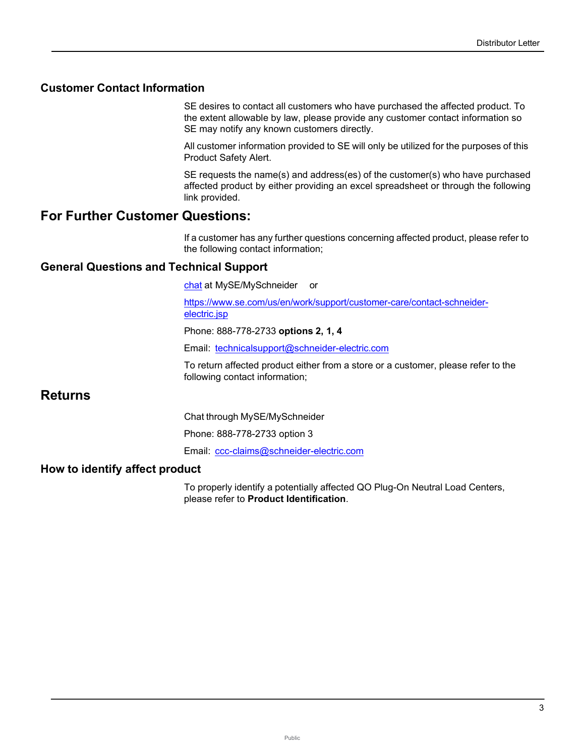## **Customer Contact Information**

SE desires to contact all customers who have purchased the affected product. To the extent allowable by law, please provide any customer contact information so SE may notify any known customers directly.

All customer information provided to SE will only be utilized for the purposes of this Product Safety Alert.

SE requests the name(s) and address(es) of the customer(s) who have purchased affected product by either providing an excel spreadsheet or through the following link provided.

## **For Further Customer Questions:**

If a customer has any further questions concerning affected product, please refer to the following contact information;

## **General Questions and Technical Support**

chat at MySE/MySchneider or

[https://www.se.com/us/en/work/support/customer-care/contact-schneider](https://www.se.com/us/en/work/support/customer-care/contact-schneider-electric.jsp)[electric.jsp](https://www.se.com/us/en/work/support/customer-care/contact-schneider-electric.jsp)

Phone: 888-778-2733 **options 2, 1, 4** 

Email: [technicalsupport@schneider-electric.com](mailto:technicalsupport@schneider-electric.com)

To return affected product either from a store or a customer, please refer to the following contact information;

## **Returns**

Chat through MySE/MySchneider

Phone: 888-778-2733 option 3

Email: [ccc-claims@schneider-electric.com](mailto:ccc-claims@schneider-electric.com)

### **How to identify affect product**

To properly identify a potentially affected QO Plug-On Neutral Load Centers, please refer to **Product Identification**.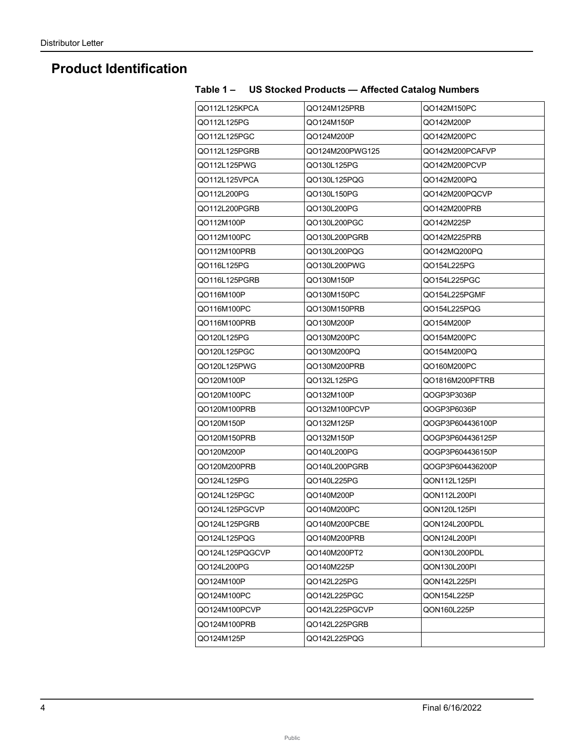# **Product Identification**

| QO112L125KPCA   | QO124M125PRB    | QO142M150PC      |
|-----------------|-----------------|------------------|
| Q0112L125PG     | QO124M150P      | QO142M200P       |
| Q0112L125PGC    | QO124M200P      | QO142M200PC      |
| Q0112L125PGRB   | QO124M200PWG125 | QO142M200PCAFVP  |
| Q0112L125PWG    | QO130L125PG     | QO142M200PCVP    |
| QO112L125VPCA   | Q0130L125PQG    | QO142M200PQ      |
| QO112L200PG     | QO130L150PG     | QO142M200PQCVP   |
| QO112L200PGRB   | QO130L200PG     | QO142M200PRB     |
| QO112M100P      | QO130L200PGC    | QO142M225P       |
| QO112M100PC     | QO130L200PGRB   | QO142M225PRB     |
| QO112M100PRB    | QO130L200PQG    | QO142MQ200PQ     |
| Q0116L125PG     | QO130L200PWG    | QO154L225PG      |
| QO116L125PGRB   | QO130M150P      | QO154L225PGC     |
| QO116M100P      | QO130M150PC     | QO154L225PGMF    |
| QO116M100PC     | QO130M150PRB    | Q0154L225PQG     |
| QO116M100PRB    | QO130M200P      | QO154M200P       |
| Q0120L125PG     | QO130M200PC     | QO154M200PC      |
| QO120L125PGC    | QO130M200PQ     | QO154M200PQ      |
| Q0120L125PWG    | QO130M200PRB    | QO160M200PC      |
| QO120M100P      | Q0132L125PG     | QO1816M200PFTRB  |
| QO120M100PC     | QO132M100P      | QOGP3P3036P      |
| QO120M100PRB    | QO132M100PCVP   | QOGP3P6036P      |
| QO120M150P      | QO132M125P      | QOGP3P604436100P |
| QO120M150PRB    | QO132M150P      | QOGP3P604436125P |
| QO120M200P      | QO140L200PG     | QOGP3P604436150P |
| QO120M200PRB    | QO140L200PGRB   | QOGP3P604436200P |
| Q0124L125PG     | QO140L225PG     | QON112L125PI     |
| QO124L125PGC    | QO140M200P      | QON112L200PI     |
| QO124L125PGCVP  | QO140M200PC     | QON120L125PI     |
| QO124L125PGRB   | QO140M200PCBE   | QON124L200PDL    |
| Q0124L125PQG    | QO140M200PRB    | QON124L200PI     |
| QO124L125PQGCVP | QO140M200PT2    | QON130L200PDL    |
| QO124L200PG     | QO140M225P      | QON130L200PI     |
| QO124M100P      | Q0142L225PG     | QON142L225PI     |
| QO124M100PC     | Q0142L225PGC    | QON154L225P      |
| QO124M100PCVP   | QO142L225PGCVP  | QON160L225P      |
| QO124M100PRB    | QO142L225PGRB   |                  |
| QO124M125P      | Q0142L225PQG    |                  |

## **Table 1 – US Stocked Products — Affected Catalog Numbers**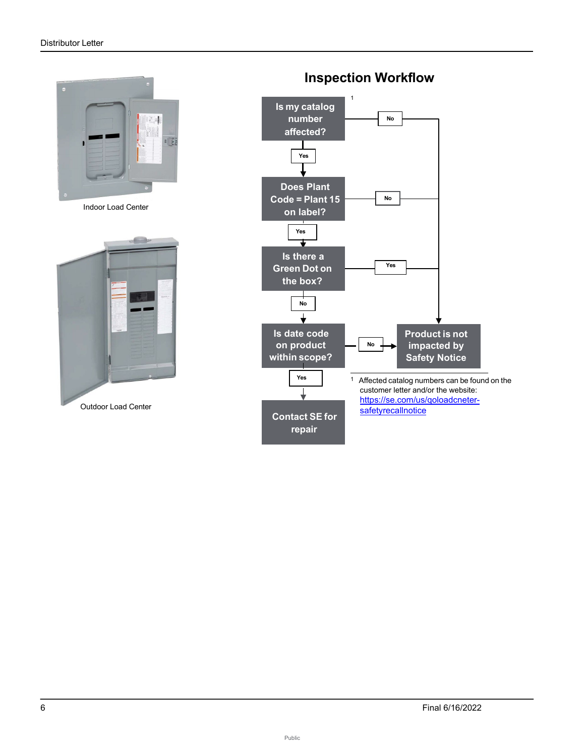

Indoor Load Center





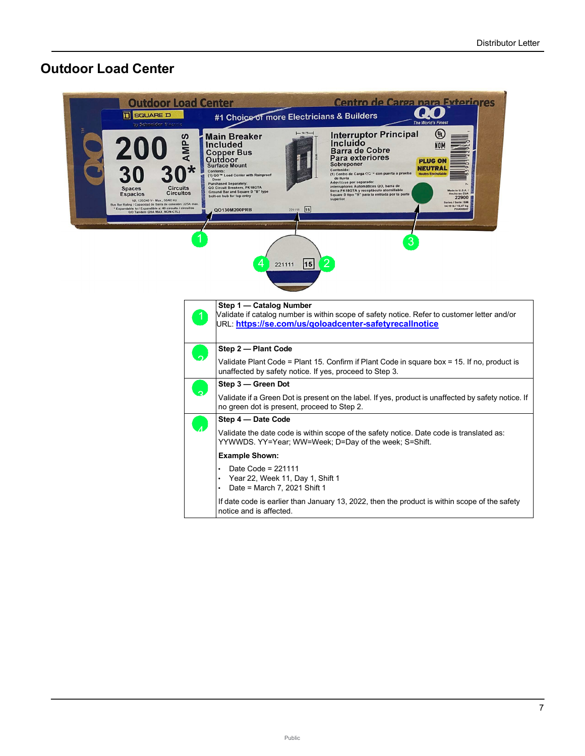## **Outdoor Load Center**



Public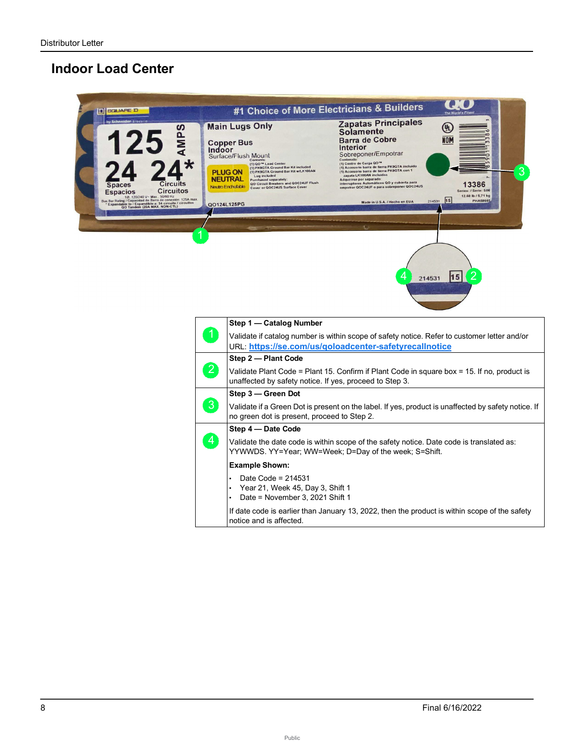## **Indoor Load Center**